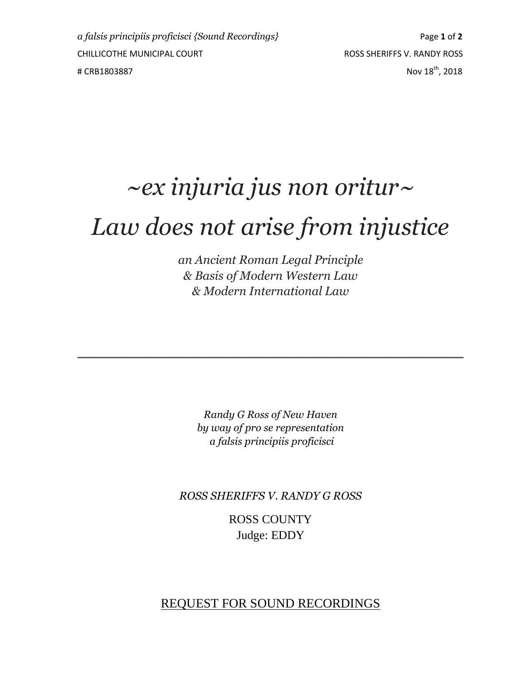## *~ex injuria jus non oritur~ Law does not arise from injustice*

*an Ancient Roman Legal Principle & Basis of Modern Western Law & Modern International Law*

*Randy G Ross of New Haven by way of pro se representation a falsis principiis proficisci*

 $\mathcal{L}_\mathcal{L} = \mathcal{L}_\mathcal{L} = \mathcal{L}_\mathcal{L} = \mathcal{L}_\mathcal{L} = \mathcal{L}_\mathcal{L} = \mathcal{L}_\mathcal{L} = \mathcal{L}_\mathcal{L} = \mathcal{L}_\mathcal{L} = \mathcal{L}_\mathcal{L} = \mathcal{L}_\mathcal{L} = \mathcal{L}_\mathcal{L} = \mathcal{L}_\mathcal{L} = \mathcal{L}_\mathcal{L} = \mathcal{L}_\mathcal{L} = \mathcal{L}_\mathcal{L} = \mathcal{L}_\mathcal{L} = \mathcal{L}_\mathcal{L}$ 

*ROSS SHERIFFS V. RANDY G ROSS*

ROSS COUNTY Judge: EDDY

### REQUEST FOR SOUND RECORDINGS